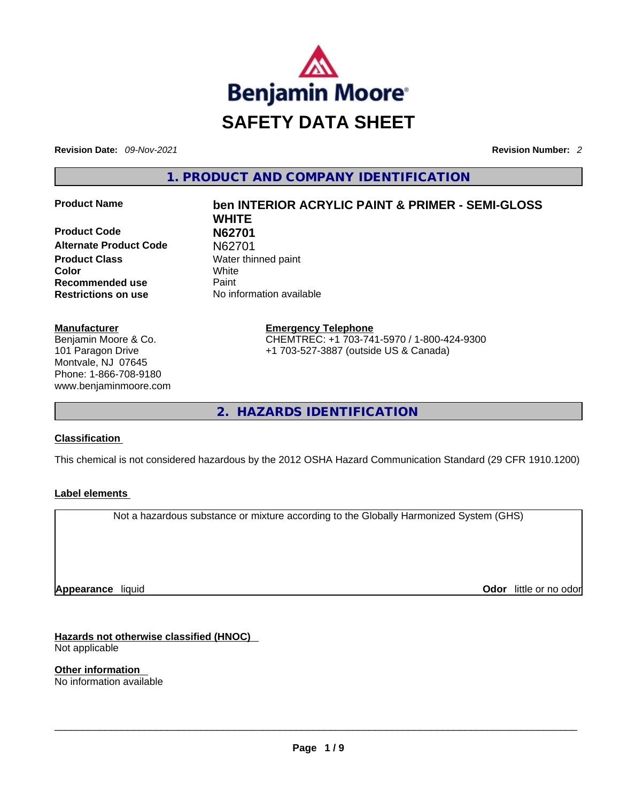

**Revision Date:** *09-Nov-2021* **Revision Number:** *2*

**1. PRODUCT AND COMPANY IDENTIFICATION** 

**Product Code N62701 Alternate Product Code** N62701 **Product Class Water thinned paint Color** White **Recommended use** Paint **Restrictions on use** No information available

#### **Manufacturer**

Benjamin Moore & Co. 101 Paragon Drive Montvale, NJ 07645 Phone: 1-866-708-9180 www.benjaminmoore.com

# **Product Name ben INTERIOR ACRYLIC PAINT & PRIMER - SEMI-GLOSS WHITE**

**Emergency Telephone** CHEMTREC: +1 703-741-5970 / 1-800-424-9300 +1 703-527-3887 (outside US & Canada)

**2. HAZARDS IDENTIFICATION** 

## **Classification**

This chemical is not considered hazardous by the 2012 OSHA Hazard Communication Standard (29 CFR 1910.1200)

## **Label elements**

Not a hazardous substance or mixture according to the Globally Harmonized System (GHS)

**Appearance** liquid

**Odor** little or no odor

**Hazards not otherwise classified (HNOC)**  Not applicable

**Other information**  No information available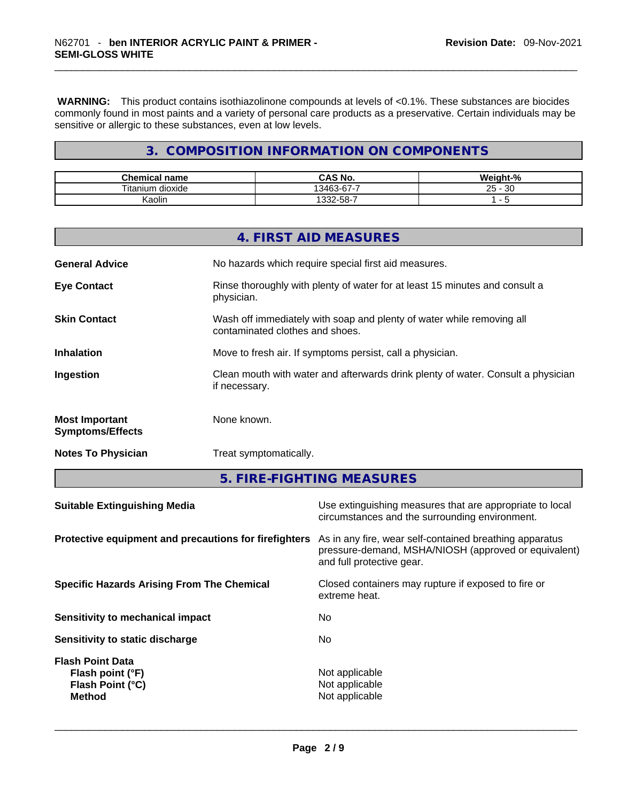**WARNING:** This product contains isothiazolinone compounds at levels of <0.1%. These substances are biocides commonly found in most paints and a variety of personal care products as a preservative. Certain individuals may be sensitive or allergic to these substances, even at low levels.

# **3. COMPOSITION INFORMATION ON COMPONENTS**

| <b>Chemical name</b>   | CAS No.                                     | We.<br>iaht-% |
|------------------------|---------------------------------------------|---------------|
| <br>dioxide<br>itanium | $\sim$ $\sim$ $\sim$<br>। २४६२<br>.ა.ჯ-67-1 | 30<br>25      |
| Kaolin                 | $.332 - 58 - 7$                             | -<br>         |

|                                                  | 4. FIRST AID MEASURES                                                                                    |
|--------------------------------------------------|----------------------------------------------------------------------------------------------------------|
| <b>General Advice</b>                            | No hazards which require special first aid measures.                                                     |
| <b>Eye Contact</b>                               | Rinse thoroughly with plenty of water for at least 15 minutes and consult a<br>physician.                |
| <b>Skin Contact</b>                              | Wash off immediately with soap and plenty of water while removing all<br>contaminated clothes and shoes. |
| <b>Inhalation</b>                                | Move to fresh air. If symptoms persist, call a physician.                                                |
| Ingestion                                        | Clean mouth with water and afterwards drink plenty of water. Consult a physician<br>if necessary.        |
| <b>Most Important</b><br><b>Symptoms/Effects</b> | None known.                                                                                              |
| <b>Notes To Physician</b>                        | Treat symptomatically.                                                                                   |

**5. FIRE-FIGHTING MEASURES** 

| <b>Suitable Extinguishing Media</b>                                              | Use extinguishing measures that are appropriate to local<br>circumstances and the surrounding environment.                                   |
|----------------------------------------------------------------------------------|----------------------------------------------------------------------------------------------------------------------------------------------|
| Protective equipment and precautions for firefighters                            | As in any fire, wear self-contained breathing apparatus<br>pressure-demand, MSHA/NIOSH (approved or equivalent)<br>and full protective gear. |
| <b>Specific Hazards Arising From The Chemical</b>                                | Closed containers may rupture if exposed to fire or<br>extreme heat.                                                                         |
| Sensitivity to mechanical impact                                                 | No.                                                                                                                                          |
| Sensitivity to static discharge                                                  | No.                                                                                                                                          |
| <b>Flash Point Data</b><br>Flash point (°F)<br>Flash Point (°C)<br><b>Method</b> | Not applicable<br>Not applicable<br>Not applicable                                                                                           |
|                                                                                  |                                                                                                                                              |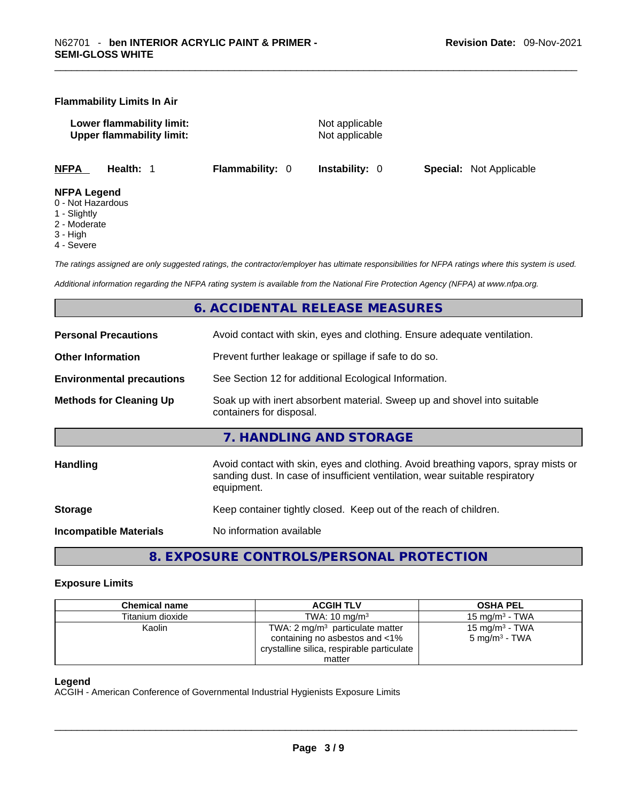#### **Flammability Limits In Air**

**Lower flammability limit:** Not applicable **Upper flammability limit:** Not applicable

**NFPA Health:** 1 **Flammability:** 0 **Instability:** 0 **Special:** Not Applicable

#### **NFPA Legend**

- 0 Not Hazardous
- 1 Slightly
- 2 Moderate
- 3 High
- 4 Severe

*The ratings assigned are only suggested ratings, the contractor/employer has ultimate responsibilities for NFPA ratings where this system is used.* 

*Additional information regarding the NFPA rating system is available from the National Fire Protection Agency (NFPA) at www.nfpa.org.* 

# **6. ACCIDENTAL RELEASE MEASURES**

| <b>Personal Precautions</b>      | Avoid contact with skin, eyes and clothing. Ensure adequate ventilation.                                                                                                         |
|----------------------------------|----------------------------------------------------------------------------------------------------------------------------------------------------------------------------------|
| <b>Other Information</b>         | Prevent further leakage or spillage if safe to do so.                                                                                                                            |
| <b>Environmental precautions</b> | See Section 12 for additional Ecological Information.                                                                                                                            |
| <b>Methods for Cleaning Up</b>   | Soak up with inert absorbent material. Sweep up and shovel into suitable<br>containers for disposal.                                                                             |
|                                  | 7. HANDLING AND STORAGE                                                                                                                                                          |
| Handling                         | Avoid contact with skin, eyes and clothing. Avoid breathing vapors, spray mists or<br>sanding dust. In case of insufficient ventilation, wear suitable respiratory<br>equipment. |
| <b>Storage</b>                   | Keep container tightly closed. Keep out of the reach of children.                                                                                                                |
| <b>Incompatible Materials</b>    | No information available                                                                                                                                                         |

# **8. EXPOSURE CONTROLS/PERSONAL PROTECTION**

#### **Exposure Limits**

| <b>Chemical name</b> | <b>ACGIH TLV</b>                                                             | <b>OSHA PEL</b>                                |
|----------------------|------------------------------------------------------------------------------|------------------------------------------------|
| Titanium dioxide     | TWA: $10 \text{ mg/m}^3$                                                     | 15 mg/m $3$ - TWA                              |
| Kaolin               | TWA: $2 \text{ mg/m}^3$ particulate matter<br>containing no asbestos and <1% | 15 mg/m $3$ - TWA<br>5 mg/m <sup>3</sup> - TWA |
|                      | crystalline silica, respirable particulate                                   |                                                |
|                      | matter                                                                       |                                                |

#### **Legend**

ACGIH - American Conference of Governmental Industrial Hygienists Exposure Limits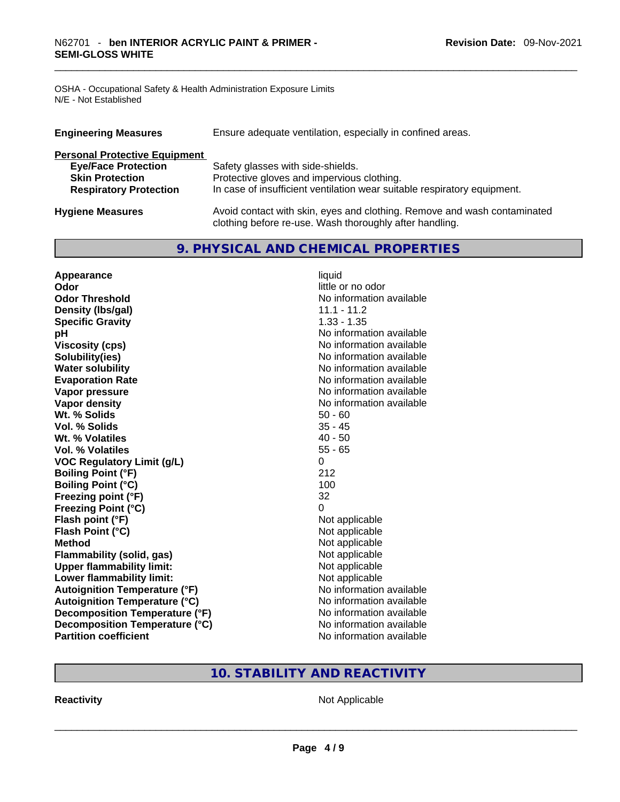OSHA - Occupational Safety & Health Administration Exposure Limits N/E - Not Established

| <b>Engineering Measures</b>          | Ensure adequate ventilation, especially in confined areas.                                                                          |
|--------------------------------------|-------------------------------------------------------------------------------------------------------------------------------------|
| <b>Personal Protective Equipment</b> |                                                                                                                                     |
| <b>Eye/Face Protection</b>           | Safety glasses with side-shields.                                                                                                   |
| <b>Skin Protection</b>               | Protective gloves and impervious clothing.                                                                                          |
| <b>Respiratory Protection</b>        | In case of insufficient ventilation wear suitable respiratory equipment.                                                            |
| <b>Hygiene Measures</b>              | Avoid contact with skin, eyes and clothing. Remove and wash contaminated<br>clothing before re-use. Wash thoroughly after handling. |

# **9. PHYSICAL AND CHEMICAL PROPERTIES**

| Appearance                           | liquid                   |
|--------------------------------------|--------------------------|
| Odor                                 | little or no odor        |
| <b>Odor Threshold</b>                | No information available |
| Density (Ibs/gal)                    | 11.1 - 11.2              |
| <b>Specific Gravity</b>              | $1.33 - 1.35$            |
| pH                                   | No information available |
| <b>Viscosity (cps)</b>               | No information available |
| Solubility(ies)                      | No information available |
| <b>Water solubility</b>              | No information available |
| <b>Evaporation Rate</b>              | No information available |
| Vapor pressure                       | No information available |
| <b>Vapor density</b>                 | No information available |
| Wt. % Solids                         | $50 - 60$                |
| Vol. % Solids                        | $35 - 45$                |
| Wt. % Volatiles                      | $40 - 50$                |
| Vol. % Volatiles                     | $55 - 65$                |
| <b>VOC Regulatory Limit (g/L)</b>    | 0                        |
| <b>Boiling Point (°F)</b>            | 212                      |
| <b>Boiling Point (°C)</b>            | 100                      |
| Freezing point (°F)                  | 32                       |
| <b>Freezing Point (°C)</b>           | $\Omega$                 |
| Flash point (°F)                     | Not applicable           |
| Flash Point (°C)                     | Not applicable           |
| <b>Method</b>                        | Not applicable           |
| <b>Flammability (solid, gas)</b>     | Not applicable           |
| <b>Upper flammability limit:</b>     | Not applicable           |
| Lower flammability limit:            | Not applicable           |
| <b>Autoignition Temperature (°F)</b> | No information available |
| <b>Autoignition Temperature (°C)</b> | No information available |
| Decomposition Temperature (°F)       | No information available |
| Decomposition Temperature (°C)       | No information available |
| <b>Partition coefficient</b>         | No information available |

# **10. STABILITY AND REACTIVITY**

**Reactivity** Not Applicable \_\_\_\_\_\_\_\_\_\_\_\_\_\_\_\_\_\_\_\_\_\_\_\_\_\_\_\_\_\_\_\_\_\_\_\_\_\_\_\_\_\_\_\_\_\_\_\_\_\_\_\_\_\_\_\_\_\_\_\_\_\_\_\_\_\_\_\_\_\_\_\_\_\_\_\_\_\_\_\_\_\_\_\_\_\_\_\_\_\_\_\_\_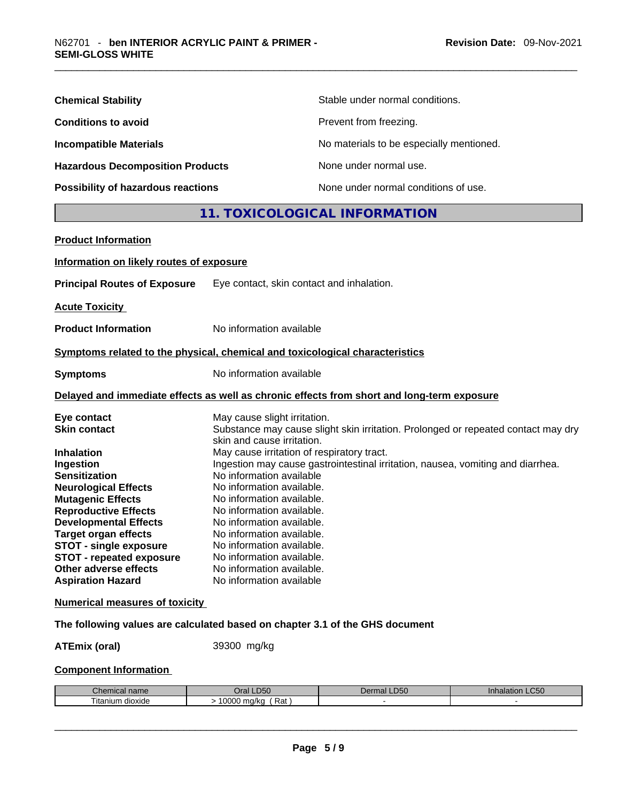| <b>Chemical Stability</b>               | Stable under normal conditions.          |
|-----------------------------------------|------------------------------------------|
| <b>Conditions to avoid</b>              | Prevent from freezing.                   |
| <b>Incompatible Materials</b>           | No materials to be especially mentioned. |
| <b>Hazardous Decomposition Products</b> | None under normal use.                   |
| Possibility of hazardous reactions      | None under normal conditions of use.     |

# **11. TOXICOLOGICAL INFORMATION**

| <b>Product Information</b>               |                                                                                                                 |
|------------------------------------------|-----------------------------------------------------------------------------------------------------------------|
| Information on likely routes of exposure |                                                                                                                 |
| <b>Principal Routes of Exposure</b>      | Eye contact, skin contact and inhalation.                                                                       |
| <b>Acute Toxicity</b>                    |                                                                                                                 |
| <b>Product Information</b>               | No information available                                                                                        |
|                                          | Symptoms related to the physical, chemical and toxicological characteristics                                    |
| <b>Symptoms</b>                          | No information available                                                                                        |
|                                          | Delayed and immediate effects as well as chronic effects from short and long-term exposure                      |
| Eye contact                              | May cause slight irritation.                                                                                    |
| <b>Skin contact</b>                      | Substance may cause slight skin irritation. Prolonged or repeated contact may dry<br>skin and cause irritation. |
| <b>Inhalation</b>                        | May cause irritation of respiratory tract.                                                                      |
| Ingestion                                | Ingestion may cause gastrointestinal irritation, nausea, vomiting and diarrhea.                                 |
| <b>Sensitization</b>                     | No information available                                                                                        |
| <b>Neurological Effects</b>              | No information available.                                                                                       |
| <b>Mutagenic Effects</b>                 | No information available.                                                                                       |
| <b>Reproductive Effects</b>              | No information available.                                                                                       |
| <b>Developmental Effects</b>             | No information available.                                                                                       |
| <b>Target organ effects</b>              | No information available.                                                                                       |
| <b>STOT - single exposure</b>            | No information available.                                                                                       |
| <b>STOT - repeated exposure</b>          | No information available.                                                                                       |
| Other adverse effects                    | No information available.                                                                                       |
| <b>Aspiration Hazard</b>                 | No information available                                                                                        |
| <b>Numerical measures of toxicity</b>    |                                                                                                                 |

# **The following values are calculated based on chapter 3.1 of the GHS document**

**ATEmix (oral)** 39300 mg/kg

# **Component Information**

| Chemical<br>name                  | $P^{\prime}$<br>)ral<br>.DSU         | D <sub>0</sub><br><b>LD50</b><br>. J.<br>чно. | $\sim$ $\sim$ $\sim$<br>ınnaıat<br>-USU |
|-----------------------------------|--------------------------------------|-----------------------------------------------|-----------------------------------------|
| $- \cdot$ .<br>ıtanıum<br>dioxide | 0.000<br>Rat<br>na/ka<br><b>UUUU</b> |                                               |                                         |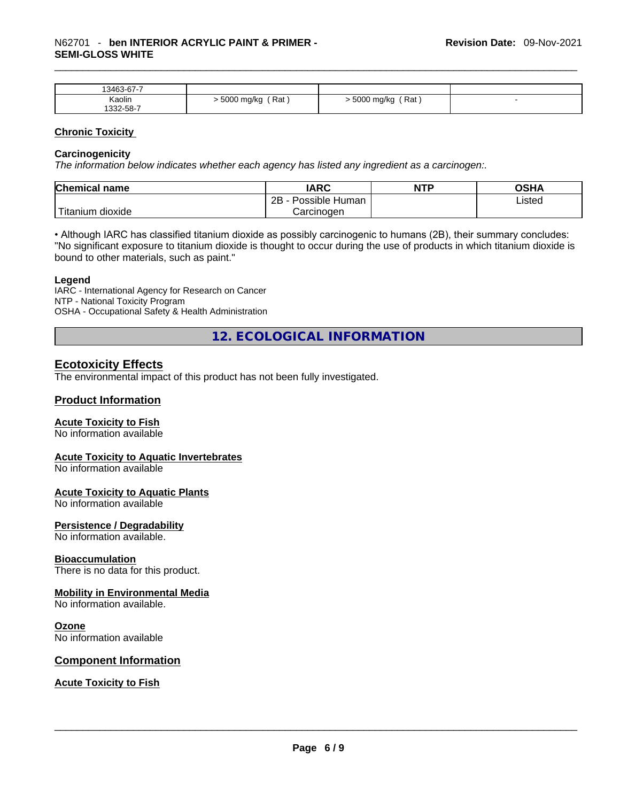| 13463-67-7 |                     |                     |  |
|------------|---------------------|---------------------|--|
| Kaolin     | Rat<br>. 5000 mg/kg | ′ Rat<br>5000 mg/kg |  |
| 332-58-7   |                     |                     |  |

#### **Chronic Toxicity**

#### **Carcinogenicity**

*The information below indicates whether each agency has listed any ingredient as a carcinogen:.* 

| <b>Chemical name</b>    | IARC                 | <b>NTP</b> | OSHA   |
|-------------------------|----------------------|------------|--------|
|                         | 2Β<br>Possible Human |            | Listed |
| ' Titanium J<br>dioxide | Carcinoɑen           |            |        |

• Although IARC has classified titanium dioxide as possibly carcinogenic to humans (2B), their summary concludes: "No significant exposure to titanium dioxide is thought to occur during the use of products in which titanium dioxide is bound to other materials, such as paint."

#### **Legend**

IARC - International Agency for Research on Cancer NTP - National Toxicity Program OSHA - Occupational Safety & Health Administration

**12. ECOLOGICAL INFORMATION** 

# **Ecotoxicity Effects**

The environmental impact of this product has not been fully investigated.

#### **Product Information**

#### **Acute Toxicity to Fish**

No information available

#### **Acute Toxicity to Aquatic Invertebrates**

No information available

#### **Acute Toxicity to Aquatic Plants**

No information available

#### **Persistence / Degradability**

No information available.

#### **Bioaccumulation**

There is no data for this product.

#### **Mobility in Environmental Media**

No information available.

#### **Ozone**

No information available

#### **Component Information**

**Acute Toxicity to Fish**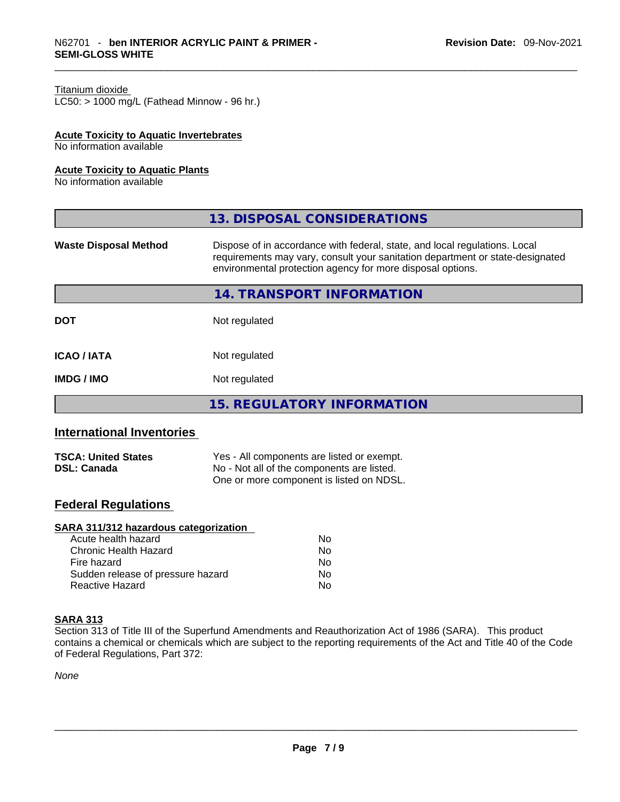#### Titanium dioxide

 $LC50:$  > 1000 mg/L (Fathead Minnow - 96 hr.)

#### **Acute Toxicity to Aquatic Invertebrates**

No information available

#### **Acute Toxicity to Aquatic Plants**

No information available

| 13. DISPOSAL CONSIDERATIONS                                                                                                                                                                                               |
|---------------------------------------------------------------------------------------------------------------------------------------------------------------------------------------------------------------------------|
| Dispose of in accordance with federal, state, and local regulations. Local<br>requirements may vary, consult your sanitation department or state-designated<br>environmental protection agency for more disposal options. |
| 14. TRANSPORT INFORMATION                                                                                                                                                                                                 |
| Not regulated                                                                                                                                                                                                             |
| Not regulated                                                                                                                                                                                                             |
| Not regulated                                                                                                                                                                                                             |
| <b>15. REGULATORY INFORMATION</b>                                                                                                                                                                                         |
|                                                                                                                                                                                                                           |

# **International Inventories**

| <b>TSCA: United States</b> | Yes - All components are listed or exempt. |
|----------------------------|--------------------------------------------|
| <b>DSL: Canada</b>         | No - Not all of the components are listed. |
|                            | One or more component is listed on NDSL.   |

# **Federal Regulations**

#### **SARA 311/312 hazardous categorization**

| Acute health hazard               | No. |  |
|-----------------------------------|-----|--|
| Chronic Health Hazard             | No. |  |
| Fire hazard                       | No  |  |
| Sudden release of pressure hazard | No. |  |
| Reactive Hazard                   | Nο  |  |

#### **SARA 313**

Section 313 of Title III of the Superfund Amendments and Reauthorization Act of 1986 (SARA). This product contains a chemical or chemicals which are subject to the reporting requirements of the Act and Title 40 of the Code of Federal Regulations, Part 372:

*None*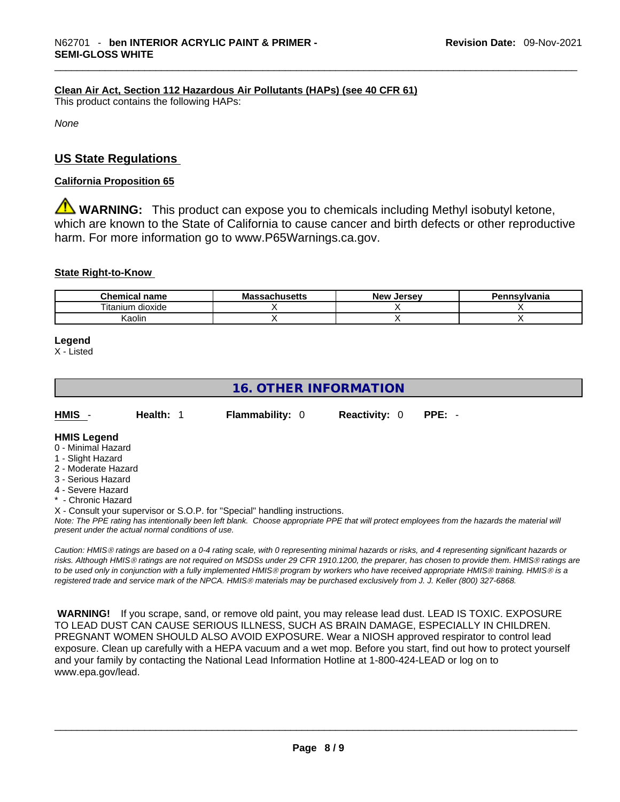## **Clean Air Act,Section 112 Hazardous Air Pollutants (HAPs) (see 40 CFR 61)**

This product contains the following HAPs:

*None*

# **US State Regulations**

#### **California Proposition 65**

**A** WARNING: This product can expose you to chemicals including Methyl isobutyl ketone, which are known to the State of California to cause cancer and birth defects or other reproductive harm. For more information go to www.P65Warnings.ca.gov.

#### **State Right-to-Know**

| <b>Chemical name</b> | Ma:<br><sub>ີ</sub> ຈາchusetts | New<br><b>Jersev</b> | Pennsvlvania |
|----------------------|--------------------------------|----------------------|--------------|
| dioxide<br>itanium   |                                |                      |              |
| ∖aolır               |                                |                      |              |

#### **Legend**

X - Listed

# **16. OTHER INFORMATION**

**HMIS** - **Health:** 1 **Flammability:** 0 **Reactivity:** 0 **PPE:** -

#### **HMIS Legend**

- 0 Minimal Hazard
- 1 Slight Hazard
- 2 Moderate Hazard
- 3 Serious Hazard
- 4 Severe Hazard
- \* Chronic Hazard
- X Consult your supervisor or S.O.P. for "Special" handling instructions.

Note: The PPE rating has intentionally been left blank. Choose appropriate PPE that will protect employees from the hazards the material will *present under the actual normal conditions of use.* 

*Caution: HMISÒ ratings are based on a 0-4 rating scale, with 0 representing minimal hazards or risks, and 4 representing significant hazards or risks. Although HMISÒ ratings are not required on MSDSs under 29 CFR 1910.1200, the preparer, has chosen to provide them. HMISÒ ratings are to be used only in conjunction with a fully implemented HMISÒ program by workers who have received appropriate HMISÒ training. HMISÒ is a registered trade and service mark of the NPCA. HMISÒ materials may be purchased exclusively from J. J. Keller (800) 327-6868.* 

 **WARNING!** If you scrape, sand, or remove old paint, you may release lead dust. LEAD IS TOXIC. EXPOSURE TO LEAD DUST CAN CAUSE SERIOUS ILLNESS, SUCH AS BRAIN DAMAGE, ESPECIALLY IN CHILDREN. PREGNANT WOMEN SHOULD ALSO AVOID EXPOSURE.Wear a NIOSH approved respirator to control lead exposure. Clean up carefully with a HEPA vacuum and a wet mop. Before you start, find out how to protect yourself and your family by contacting the National Lead Information Hotline at 1-800-424-LEAD or log on to www.epa.gov/lead.